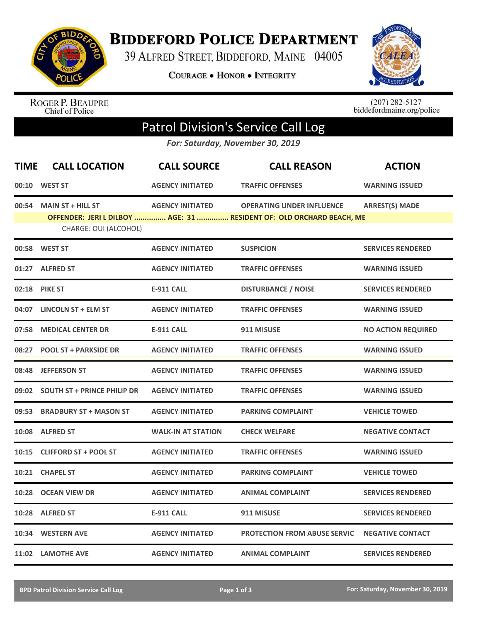

**BIDDEFORD POLICE DEPARTMENT** 

39 ALFRED STREET, BIDDEFORD, MAINE 04005

**COURAGE . HONOR . INTEGRITY** 



ROGER P. BEAUPRE<br>Chief of Police

 $(207)$  282-5127<br>biddefordmaine.org/police

## Patrol Division's Service Call Log

*For: Saturday, November 30, 2019*

| <b>TIME</b> | <b>CALL LOCATION</b>              | <b>CALL SOURCE</b>        | <b>CALL REASON</b>                                                   | <b>ACTION</b>             |
|-------------|-----------------------------------|---------------------------|----------------------------------------------------------------------|---------------------------|
|             | 00:10 WEST ST                     | <b>AGENCY INITIATED</b>   | <b>TRAFFIC OFFENSES</b>                                              | <b>WARNING ISSUED</b>     |
| 00:54       | <b>MAIN ST + HILL ST</b>          | <b>AGENCY INITIATED</b>   | <b>OPERATING UNDER INFLUENCE</b>                                     | <b>ARREST(S) MADE</b>     |
|             | CHARGE: OUI (ALCOHOL)             |                           | OFFENDER: JERI L DILBOY  AGE: 31  RESIDENT OF: OLD ORCHARD BEACH, ME |                           |
|             | 00:58 WEST ST                     | <b>AGENCY INITIATED</b>   | <b>SUSPICION</b>                                                     | <b>SERVICES RENDERED</b>  |
| 01:27       | <b>ALFRED ST</b>                  | <b>AGENCY INITIATED</b>   | <b>TRAFFIC OFFENSES</b>                                              | <b>WARNING ISSUED</b>     |
| 02:18       | <b>PIKE ST</b>                    | <b>E-911 CALL</b>         | <b>DISTURBANCE / NOISE</b>                                           | <b>SERVICES RENDERED</b>  |
| 04:07       | <b>LINCOLN ST + ELM ST</b>        | <b>AGENCY INITIATED</b>   | <b>TRAFFIC OFFENSES</b>                                              | <b>WARNING ISSUED</b>     |
| 07:58       | <b>MEDICAL CENTER DR</b>          | <b>E-911 CALL</b>         | 911 MISUSE                                                           | <b>NO ACTION REQUIRED</b> |
| 08:27       | <b>POOL ST + PARKSIDE DR</b>      | <b>AGENCY INITIATED</b>   | <b>TRAFFIC OFFENSES</b>                                              | <b>WARNING ISSUED</b>     |
| 08:48       | <b>JEFFERSON ST</b>               | <b>AGENCY INITIATED</b>   | <b>TRAFFIC OFFENSES</b>                                              | <b>WARNING ISSUED</b>     |
|             | 09:02 SOUTH ST + PRINCE PHILIP DR | <b>AGENCY INITIATED</b>   | <b>TRAFFIC OFFENSES</b>                                              | <b>WARNING ISSUED</b>     |
| 09:53       | <b>BRADBURY ST + MASON ST</b>     | <b>AGENCY INITIATED</b>   | <b>PARKING COMPLAINT</b>                                             | <b>VEHICLE TOWED</b>      |
|             | 10:08 ALFRED ST                   | <b>WALK-IN AT STATION</b> | <b>CHECK WELFARE</b>                                                 | <b>NEGATIVE CONTACT</b>   |
| 10:15       | <b>CLIFFORD ST + POOL ST</b>      | <b>AGENCY INITIATED</b>   | <b>TRAFFIC OFFENSES</b>                                              | <b>WARNING ISSUED</b>     |
| 10:21       | <b>CHAPEL ST</b>                  | <b>AGENCY INITIATED</b>   | <b>PARKING COMPLAINT</b>                                             | <b>VEHICLE TOWED</b>      |
| 10:28       | <b>OCEAN VIEW DR</b>              | <b>AGENCY INITIATED</b>   | <b>ANIMAL COMPLAINT</b>                                              | <b>SERVICES RENDERED</b>  |
|             | 10:28 ALFRED ST                   | <b>E-911 CALL</b>         | 911 MISUSE                                                           | <b>SERVICES RENDERED</b>  |
| 10:34       | <b>WESTERN AVE</b>                | <b>AGENCY INITIATED</b>   | <b>PROTECTION FROM ABUSE SERVIC</b>                                  | <b>NEGATIVE CONTACT</b>   |
|             | 11:02 LAMOTHE AVE                 | <b>AGENCY INITIATED</b>   | <b>ANIMAL COMPLAINT</b>                                              | <b>SERVICES RENDERED</b>  |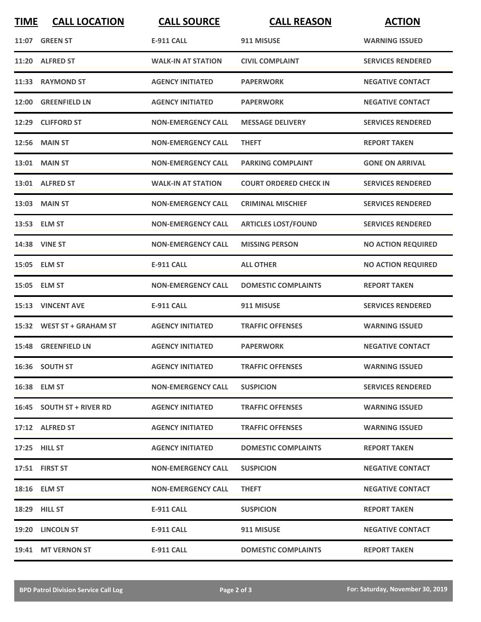| <b>TIME</b> | <b>CALL LOCATION</b>      | <b>CALL SOURCE</b>        | <b>CALL REASON</b>            | <b>ACTION</b>             |
|-------------|---------------------------|---------------------------|-------------------------------|---------------------------|
|             | <b>11:07 GREEN ST</b>     | <b>E-911 CALL</b>         | 911 MISUSE                    | <b>WARNING ISSUED</b>     |
|             | 11:20 ALFRED ST           | <b>WALK-IN AT STATION</b> | <b>CIVIL COMPLAINT</b>        | <b>SERVICES RENDERED</b>  |
|             | 11:33 RAYMOND ST          | <b>AGENCY INITIATED</b>   | <b>PAPERWORK</b>              | <b>NEGATIVE CONTACT</b>   |
|             | 12:00 GREENFIELD LN       | <b>AGENCY INITIATED</b>   | <b>PAPERWORK</b>              | <b>NEGATIVE CONTACT</b>   |
|             | 12:29 CLIFFORD ST         | <b>NON-EMERGENCY CALL</b> | <b>MESSAGE DELIVERY</b>       | <b>SERVICES RENDERED</b>  |
|             | <b>12:56 MAIN ST</b>      | <b>NON-EMERGENCY CALL</b> | <b>THEFT</b>                  | <b>REPORT TAKEN</b>       |
|             | 13:01 MAIN ST             | <b>NON-EMERGENCY CALL</b> | <b>PARKING COMPLAINT</b>      | <b>GONE ON ARRIVAL</b>    |
|             | 13:01 ALFRED ST           | <b>WALK-IN AT STATION</b> | <b>COURT ORDERED CHECK IN</b> | <b>SERVICES RENDERED</b>  |
|             | 13:03 MAIN ST             | <b>NON-EMERGENCY CALL</b> | <b>CRIMINAL MISCHIEF</b>      | <b>SERVICES RENDERED</b>  |
|             | 13:53 ELM ST              | <b>NON-EMERGENCY CALL</b> | <b>ARTICLES LOST/FOUND</b>    | <b>SERVICES RENDERED</b>  |
|             | <b>14:38 VINE ST</b>      | <b>NON-EMERGENCY CALL</b> | <b>MISSING PERSON</b>         | <b>NO ACTION REQUIRED</b> |
|             | 15:05 ELM ST              | <b>E-911 CALL</b>         | <b>ALL OTHER</b>              | <b>NO ACTION REQUIRED</b> |
|             | 15:05 ELM ST              | <b>NON-EMERGENCY CALL</b> | <b>DOMESTIC COMPLAINTS</b>    | <b>REPORT TAKEN</b>       |
|             | 15:13 VINCENT AVE         | <b>E-911 CALL</b>         | 911 MISUSE                    | <b>SERVICES RENDERED</b>  |
|             | 15:32 WEST ST + GRAHAM ST | <b>AGENCY INITIATED</b>   | <b>TRAFFIC OFFENSES</b>       | <b>WARNING ISSUED</b>     |
|             | 15:48 GREENFIELD LN       | <b>AGENCY INITIATED</b>   | <b>PAPERWORK</b>              | <b>NEGATIVE CONTACT</b>   |
|             | 16:36 SOUTH ST            | <b>AGENCY INITIATED</b>   | <b>TRAFFIC OFFENSES</b>       | <b>WARNING ISSUED</b>     |
|             | 16:38 ELM ST              | <b>NON-EMERGENCY CALL</b> | <b>SUSPICION</b>              | <b>SERVICES RENDERED</b>  |
|             | 16:45 SOUTH ST + RIVER RD | <b>AGENCY INITIATED</b>   | <b>TRAFFIC OFFENSES</b>       | <b>WARNING ISSUED</b>     |
|             | 17:12 ALFRED ST           | <b>AGENCY INITIATED</b>   | <b>TRAFFIC OFFENSES</b>       | <b>WARNING ISSUED</b>     |
|             | 17:25 HILL ST             | <b>AGENCY INITIATED</b>   | <b>DOMESTIC COMPLAINTS</b>    | <b>REPORT TAKEN</b>       |
|             | 17:51 FIRST ST            | <b>NON-EMERGENCY CALL</b> | <b>SUSPICION</b>              | <b>NEGATIVE CONTACT</b>   |
|             | 18:16 ELM ST              | <b>NON-EMERGENCY CALL</b> | <b>THEFT</b>                  | <b>NEGATIVE CONTACT</b>   |
|             | <b>18:29 HILL ST</b>      | E-911 CALL                | <b>SUSPICION</b>              | <b>REPORT TAKEN</b>       |
|             | 19:20 LINCOLN ST          | E-911 CALL                | 911 MISUSE                    | <b>NEGATIVE CONTACT</b>   |
|             | 19:41 MT VERNON ST        | E-911 CALL                | <b>DOMESTIC COMPLAINTS</b>    | <b>REPORT TAKEN</b>       |